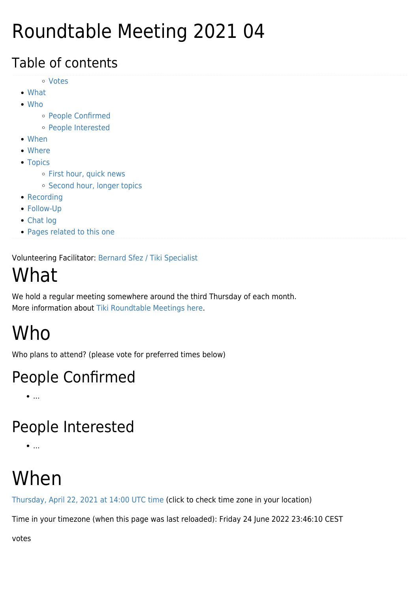### Roundtable Meeting 2021 04

#### Table of contents

- [Votes](#page--1-0)
- [What](#page--1-0)
- [Who](#page--1-0)
	- [People Confirmed](#page--1-0)
	- [People Interested](#page--1-0)
- [When](#page--1-0)
- [Where](#page--1-0)
- [Topics](#page--1-0)
	- o [First hour, quick news](#page--1-0)
	- o [Second hour, longer topics](#page--1-0)
- [Recording](#page--1-0)
- [Follow-Up](#page--1-0)
- [Chat log](#page--1-0)
- [Pages related to this one](#page--1-0)

Volunteering Facilitator: [Bernard Sfez / Tiki Specialist](https://suite.tiki.org/user1974)

## What

We hold a regular meeting somewhere around the third Thursday of each month. More information about [Tiki Roundtable Meetings](https://suite.tiki.org/Roundtable-Meetings) [here](https://suite.tiki.org/Roundtable-Meetings).

# Who

Who plans to attend? (please vote for preferred times below)

#### People Confirmed

 $\bullet$ ....

#### People Interested

 $\bullet$  ...

## When

[Thursday, April 22, 2021 at 14:00 UTC time](https://www.timeanddate.com/worldclock/fixedtime.html?msg=Rountable%20Meeting%20-%20April%202020%20&iso=20210422T14&p1=%3A&ah=2) (click to check time zone in your location)

Time in your timezone (when this page was last reloaded): Friday 24 June 2022 23:46:10 CEST

votes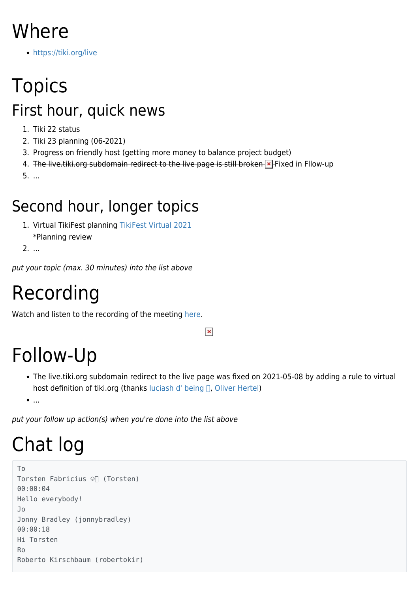### Where

<https://tiki.org/live>

## Topics First hour, quick news

- 1. Tiki 22 status
- 2. Tiki 23 planning (06-2021)
- 3. Progress on friendly host (getting more money to balance project budget)
- 4. The live tiki org subdomain redirect to the live page is still broken **x** Fixed in Fllow-up

5. ...

#### Second hour, longer topics

- 1. Virtual TikiFest planning [TikiFest Virtual 2021](https://suite.tiki.org/TikiFest-Virtual-2021) \*Planning review
- 2. ...

put your topic (max. 30 minutes) into the list above

#### Recording

Watch and listen to the recording of the meeting [here](https://recordings.rna1.blindsidenetworks.com/citadelrock/d559965849921585c1849af03b7a51638700d979-1619099578844/presentation/).

#### $\pmb{\times}$

### Follow-Up

The live.tiki.org subdomain redirect to the live page was fixed on 2021-05-08 by adding a rule to virtual host definition of tiki.org (thanks luciash d' being  $\Box$ , [Oliver Hertel](https://suite.tiki.org/user3))

 $\bullet$  ...

put your follow up action(s) when you're done into the list above

# Chat log

```
To
Torsten Fabricius ☺️ (Torsten)
00:00:04
Hello everybody!
Jo
Jonny Bradley (jonnybradley)
00:00:18
Hi Torsten
Ro
Roberto Kirschbaum (robertokir)
```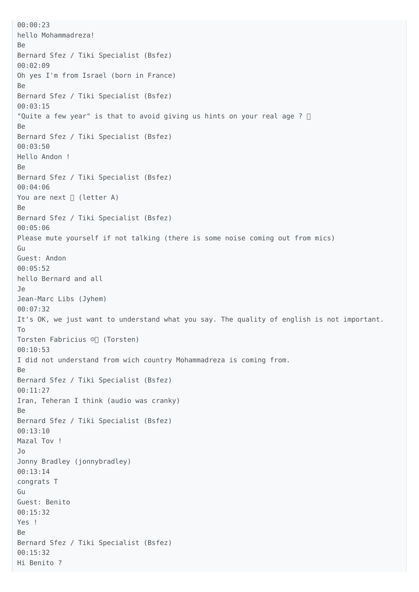00:00:23 hello Mohammadreza! Be Bernard Sfez / Tiki Specialist (Bsfez) 00:02:09 Oh yes I'm from Israel (born in France) Be Bernard Sfez / Tiki Specialist (Bsfez) 00:03:15 "Quite a few year" is that to avoid giving us hints on your real age ?  $\Box$ Be Bernard Sfez / Tiki Specialist (Bsfez) 00:03:50 Hello Andon ! Be Bernard Sfez / Tiki Specialist (Bsfez) 00:04:06 You are next  $\Box$  (letter A) Be Bernard Sfez / Tiki Specialist (Bsfez) 00:05:06 Please mute yourself if not talking (there is some noise coming out from mics) Gu Guest: Andon 00:05:52 hello Bernard and all Je Jean-Marc Libs (Jyhem) 00:07:32 It's OK, we just want to understand what you say. The quality of english is not important. To Torsten Fabricius ☺️ (Torsten) 00:10:53 I did not understand from wich country Mohammadreza is coming from. Be Bernard Sfez / Tiki Specialist (Bsfez) 00:11:27 Iran, Teheran I think (audio was cranky) Be Bernard Sfez / Tiki Specialist (Bsfez) 00:13:10 Mazal Tov ! Jo Jonny Bradley (jonnybradley) 00:13:14 congrats T Gu Guest: Benito 00:15:32 Yes ! Be Bernard Sfez / Tiki Specialist (Bsfez) 00:15:32 Hi Benito ?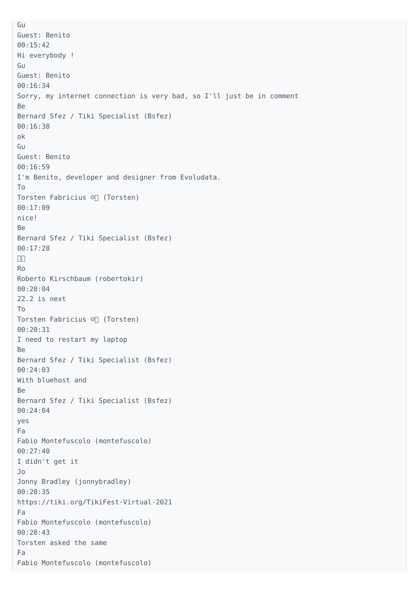Gu Guest: Benito 00:15:42 Hi everybody ! Gu Guest: Benito 00:16:34 Sorry, my internet connection is very bad, so I'll just be in comment Be Bernard Sfez / Tiki Specialist (Bsfez) 00:16:38 ok Gu Guest: Benito 00:16:59 I'm Benito, developer and designer from Evoludata. To Torsten Fabricius ☺️ (Torsten) 00:17:09 nice! Be Bernard Sfez / Tiki Specialist (Bsfez) 00:17:28  $\Box$ Ro Roberto Kirschbaum (robertokir) 00:20:04 22.2 is next To Torsten Fabricius ☺️ (Torsten) 00:20:31 I need to restart my laptop Be Bernard Sfez / Tiki Specialist (Bsfez) 00:24:03 With bluehost and Be Bernard Sfez / Tiki Specialist (Bsfez) 00:24:04 yes Fa Fabio Montefuscolo (montefuscolo) 00:27:40 I didn't get it Jo Jonny Bradley (jonnybradley) 00:28:35 https://tiki.org/TikiFest-Virtual-2021 Fa Fabio Montefuscolo (montefuscolo) 00:28:43 Torsten asked the same Fa Fabio Montefuscolo (montefuscolo)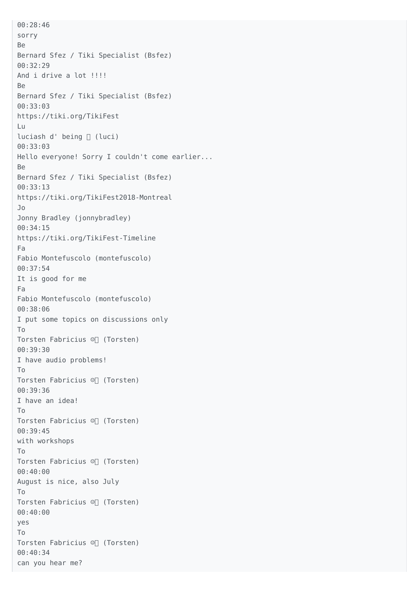00:28:46 sorry Be Bernard Sfez / Tiki Specialist (Bsfez) 00:32:29 And i drive a lot !!!! Be Bernard Sfez / Tiki Specialist (Bsfez) 00:33:03 https://tiki.org/TikiFest Lu luciash d' being □ (luci) 00:33:03 Hello everyone! Sorry I couldn't come earlier... Be Bernard Sfez / Tiki Specialist (Bsfez) 00:33:13 https://tiki.org/TikiFest2018-Montreal Jo Jonny Bradley (jonnybradley) 00:34:15 https://tiki.org/TikiFest-Timeline Fa Fabio Montefuscolo (montefuscolo) 00:37:54 It is good for me Fa Fabio Montefuscolo (montefuscolo) 00:38:06 I put some topics on discussions only To Torsten Fabricius ☺️ (Torsten) 00:39:30 I have audio problems! To Torsten Fabricius ☺️ (Torsten) 00:39:36 I have an idea! To Torsten Fabricius ☺️ (Torsten) 00:39:45 with workshops To Torsten Fabricius ☺️ (Torsten) 00:40:00 August is nice, also July To Torsten Fabricius ☺️ (Torsten) 00:40:00 yes To Torsten Fabricius ☺️ (Torsten) 00:40:34 can you hear me?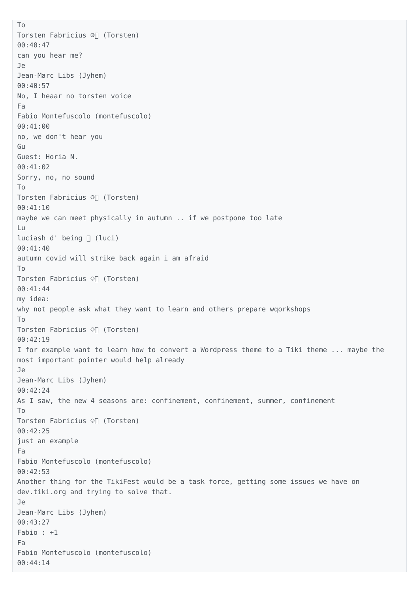To Torsten Fabricius ☺️ (Torsten) 00:40:47 can you hear me? Je Jean-Marc Libs (Jyhem) 00:40:57 No, I heaar no torsten voice Fa Fabio Montefuscolo (montefuscolo) 00:41:00 no, we don't hear you Gu Guest: Horia N. 00:41:02 Sorry, no, no sound To Torsten Fabricius ☺️ (Torsten) 00:41:10 maybe we can meet physically in autumn .. if we postpone too late Lu luciash d' being  $\sqcap$  (luci) 00:41:40 autumn covid will strike back again i am afraid To Torsten Fabricius ☺️ (Torsten) 00:41:44 my idea: why not people ask what they want to learn and others prepare wqorkshops To Torsten Fabricius ☺️ (Torsten) 00:42:19 I for example want to learn how to convert a Wordpress theme to a Tiki theme ... maybe the most important pointer would help already Je Jean-Marc Libs (Jyhem) 00:42:24 As I saw, the new 4 seasons are: confinement, confinement, summer, confinement To Torsten Fabricius ☺️ (Torsten) 00:42:25 just an example Fa Fabio Montefuscolo (montefuscolo) 00:42:53 Another thing for the TikiFest would be a task force, getting some issues we have on dev.tiki.org and trying to solve that. Je Jean-Marc Libs (Jyhem) 00:43:27 Fabio : +1 Fa Fabio Montefuscolo (montefuscolo) 00:44:14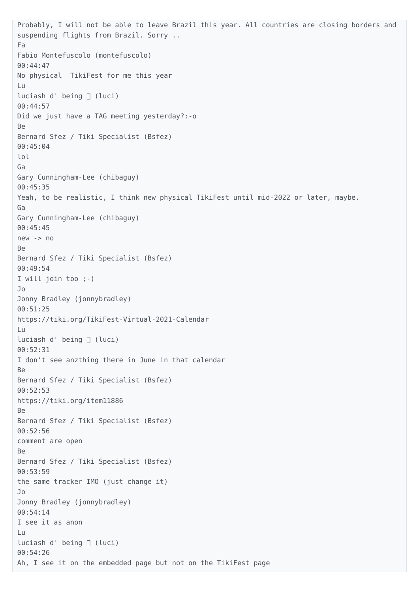Probably, I will not be able to leave Brazil this year. All countries are closing borders and suspending flights from Brazil. Sorry .. Fa Fabio Montefuscolo (montefuscolo) 00:44:47 No physical TikiFest for me this year Lu luciash d' being □ (luci) 00:44:57 Did we just have a TAG meeting yesterday?:-o Be Bernard Sfez / Tiki Specialist (Bsfez) 00:45:04 lol Ga Gary Cunningham-Lee (chibaguy) 00:45:35 Yeah, to be realistic, I think new physical TikiFest until mid-2022 or later, maybe. Ga Gary Cunningham-Lee (chibaguy) 00:45:45 new -> no Be Bernard Sfez / Tiki Specialist (Bsfez) 00:49:54 I will join too ;-) Jo Jonny Bradley (jonnybradley) 00:51:25 https://tiki.org/TikiFest-Virtual-2021-Calendar Lu luciash d' being [ (luci) 00:52:31 I don't see anzthing there in June in that calendar Be Bernard Sfez / Tiki Specialist (Bsfez) 00:52:53 https://tiki.org/item11886 Be Bernard Sfez / Tiki Specialist (Bsfez) 00:52:56 comment are open Be Bernard Sfez / Tiki Specialist (Bsfez) 00:53:59 the same tracker IMO (just change it) Jo Jonny Bradley (jonnybradley) 00:54:14 I see it as anon Lu luciash d' being □ (luci) 00:54:26 Ah, I see it on the embedded page but not on the TikiFest page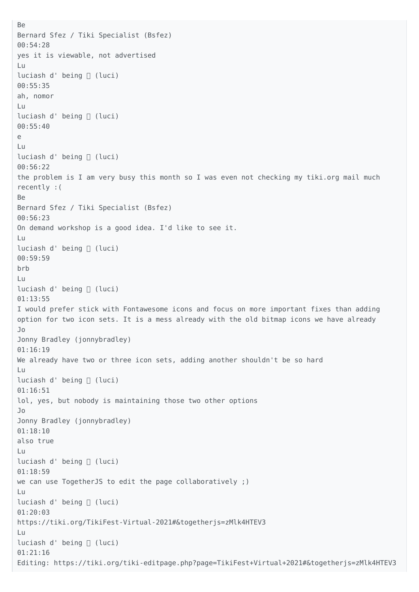```
Be
Bernard Sfez / Tiki Specialist (Bsfez)
00:54:28
yes it is viewable, not advertised
Lu
luciash d' being [ (luci)
00:55:35
ah, nomor
Lu
luciash d' being [ (luci)
00:55:40
e
Lu
luciash d' being □ (luci)
00:56:22
the problem is I am very busy this month so I was even not checking my tiki.org mail much
recently :(
Be
Bernard Sfez / Tiki Specialist (Bsfez)
00:56:23
On demand workshop is a good idea. I'd like to see it.
Lu
luciash d' being □ (luci)
00:59:59
brb
Lu
luciash d' being □ (luci)
01:13:55
I would prefer stick with Fontawesome icons and focus on more important fixes than adding
option for two icon sets. It is a mess already with the old bitmap icons we have already
Jo
Jonny Bradley (jonnybradley)
01:16:19
We already have two or three icon sets, adding another shouldn't be so hard
Lu
luciash d' being [ (luci)
01:16:51
lol, yes, but nobody is maintaining those two other options
Jo
Jonny Bradley (jonnybradley)
01:18:10
also true
Lu
luciash d' being [ (luci)
01:18:59
we can use TogetherJS to edit the page collaboratively ;)
Lu
luciash d' being □ (luci)
01:20:03
https://tiki.org/TikiFest-Virtual-2021#&togetherjs=zMlk4HTEV3
Lu
luciash d' being □ (luci)
01:21:16
Editing: https://tiki.org/tiki-editpage.php?page=TikiFest+Virtual+2021#&togetherjs=zMlk4HTEV3
```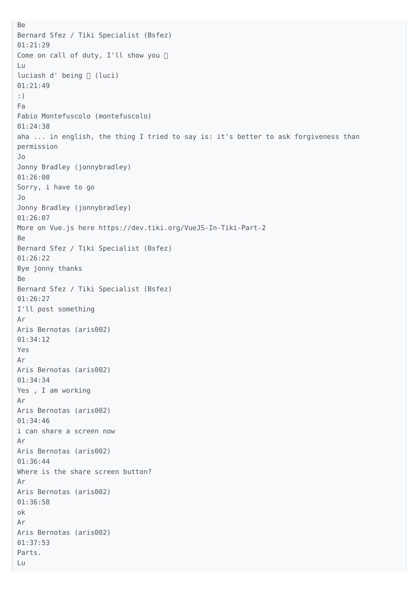```
Be
Bernard Sfez / Tiki Specialist (Bsfez)
01:21:29
Come on call of duty, I'll show you □
Lu
luciash d' being [ (luci)
01:21:49
:)
Fa
Fabio Montefuscolo (montefuscolo)
01:24:38
aha ... in english, the thing I tried to say is: it's better to ask forgiveness than
permission
Jo
Jonny Bradley (jonnybradley)
01:26:00
Sorry, i have to go
Jo
Jonny Bradley (jonnybradley)
01:26:07
More on Vue.js here https://dev.tiki.org/VueJS-In-Tiki-Part-2
Be
Bernard Sfez / Tiki Specialist (Bsfez)
01:26:22
Bye jonny thanks
Be
Bernard Sfez / Tiki Specialist (Bsfez)
01:26:27
I'll post something
Ar
Aris Bernotas (aris002)
01:34:12
Yes
Ar
Aris Bernotas (aris002)
01:34:34
Yes , I am working
Ar
Aris Bernotas (aris002)
01:34:46
i can share a screen now
Ar
Aris Bernotas (aris002)
01:36:44
Where is the share screen button?
Ar
Aris Bernotas (aris002)
01:36:58
ok
Ar
Aris Bernotas (aris002)
01:37:53
Parts.
Lu
```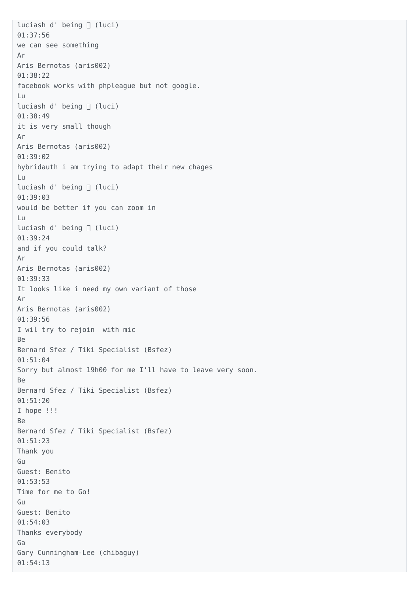luciash d' being □ (luci) 01:37:56 we can see something Ar Aris Bernotas (aris002) 01:38:22 facebook works with phpleague but not google. Lu luciash d' being [ (luci) 01:38:49 it is very small though Ar Aris Bernotas (aris002) 01:39:02 hybridauth i am trying to adapt their new chages Lu luciash d' being [ (luci) 01:39:03 would be better if you can zoom in Lu luciash d' being □ (luci) 01:39:24 and if you could talk? Ar Aris Bernotas (aris002) 01:39:33 It looks like i need my own variant of those Ar Aris Bernotas (aris002) 01:39:56 I wil try to rejoin with mic Be Bernard Sfez / Tiki Specialist (Bsfez) 01:51:04 Sorry but almost 19h00 for me I'll have to leave very soon. Be Bernard Sfez / Tiki Specialist (Bsfez) 01:51:20 I hope !!! Be Bernard Sfez / Tiki Specialist (Bsfez) 01:51:23 Thank you Gu Guest: Benito 01:53:53 Time for me to Go! Gu Guest: Benito 01:54:03 Thanks everybody Ga Gary Cunningham-Lee (chibaguy) 01:54:13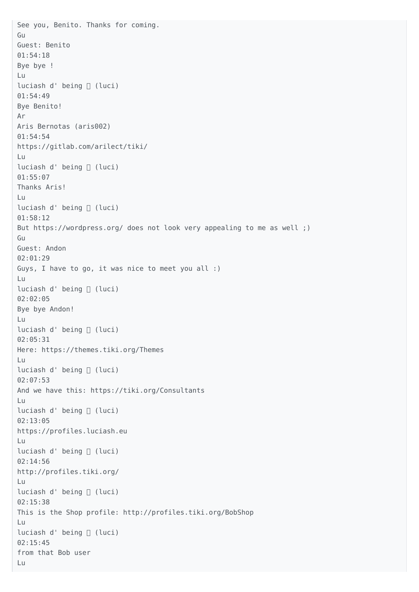See you, Benito. Thanks for coming. Gu Guest: Benito 01:54:18 Bye bye ! Lu luciash d' being [ (luci) 01:54:49 Bye Benito! Ar Aris Bernotas (aris002) 01:54:54 https://gitlab.com/arilect/tiki/ Lu luciash d' being ∏ (luci) 01:55:07 Thanks Aris! Lu luciash d' being □ (luci) 01:58:12 But https://wordpress.org/ does not look very appealing to me as well ;) Gu Guest: Andon 02:01:29 Guys, I have to go, it was nice to meet you all :) Lu luciash d' being [ (luci) 02:02:05 Bye bye Andon! Lu luciash d' being [ (luci) 02:05:31 Here: https://themes.tiki.org/Themes Lu luciash d' being □ (luci) 02:07:53 And we have this: https://tiki.org/Consultants Lu luciash d' being □ (luci) 02:13:05 https://profiles.luciash.eu Lu luciash d' being □ (luci) 02:14:56 http://profiles.tiki.org/ Lu luciash d' being [ (luci) 02:15:38 This is the Shop profile: http://profiles.tiki.org/BobShop Lu luciash d' being [ (luci) 02:15:45 from that Bob user Lu